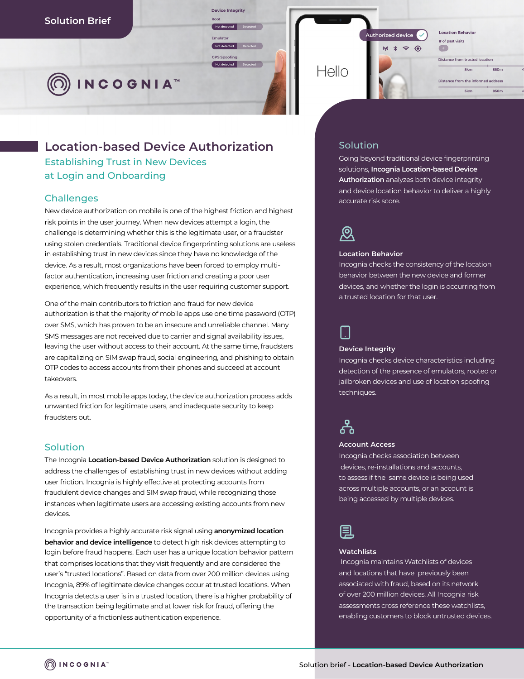**INCOGNIA™** 

# **Location-based Device Authorization**

**Device Integrity** Not detected

Emulate

**GPS** Spoofing

Establishing Trust in New Devices at Login and Onboarding

# **Challenges**

New device authorization on mobile is one of the highest friction and highest risk points in the user journey. When new devices attempt a login, the challenge is determining whether this is the legitimate user, or a fraudster using stolen credentials. Traditional device fingerprinting solutions are useless in establishing trust in new devices since they have no knowledge of the device. As a result, most organizations have been forced to employ multifactor authentication, increasing user friction and creating a poor user experience, which frequently results in the user requiring customer support.

One of the main contributors to friction and fraud for new device authorization is that the majority of mobile apps use one time password (OTP) over SMS, which has proven to be an insecure and unreliable channel. Many SMS messages are not received due to carrier and signal availability issues, leaving the user without access to their account. At the same time, fraudsters are capitalizing on SIM swap fraud, social engineering, and phishing to obtain OTP codes to access accounts from their phones and succeed at account takeovers.

As a result, in most mobile apps today, the device authorization process adds unwanted friction for legitimate users, and inadequate security to keep fraudsters out.

### Solution

The Incognia **Location-based Device Authorization** solution is designed to address the challenges of establishing trust in new devices without adding user friction. Incognia is highly effective at protecting accounts from fraudulent device changes and SIM swap fraud, while recognizing those instances when legitimate users are accessing existing accounts from new devices.

Incognia provides a highly accurate risk signal using **anonymized location behavior and device intelligence** to detect high risk devices attempting to login before fraud happens. Each user has a unique location behavior pattern that comprises locations that they visit frequently and are considered the user's "trusted locations". Based on data from over 200 million devices using Incognia, 89% of legitimate device changes occur at trusted locations. When Incognia detects a user is in a trusted location, there is a higher probability of the transaction being legitimate and at lower risk for fraud, offering the opportunity of a frictionless authentication experience.



# Solution

Going beyond traditional device fingerprinting solutions, **Incognia Location-based Device Authorization** analyzes both device integrity and device location behavior to deliver a highly accurate risk score.



#### **Location Behavior**

Incognia checks the consistency of the location behavior between the new device and former devices, and whether the login is occurring from a trusted location for that user.



#### **Device Integrity**

Incognia checks device characteristics including detection of the presence of emulators, rooted or jailbroken devices and use of location spoofing techniques.



#### **Account Access**

Incognia checks association between devices, re-installations and accounts, to assess if the same device is being used across multiple accounts, or an account is being accessed by multiple devices.



#### **Watchlists**

Incognia maintains Watchlists of devices and locations that have previously been associated with fraud, based on its network of over 200 million devices. All Incognia risk assessments cross reference these watchlists, enabling customers to block untrusted devices.